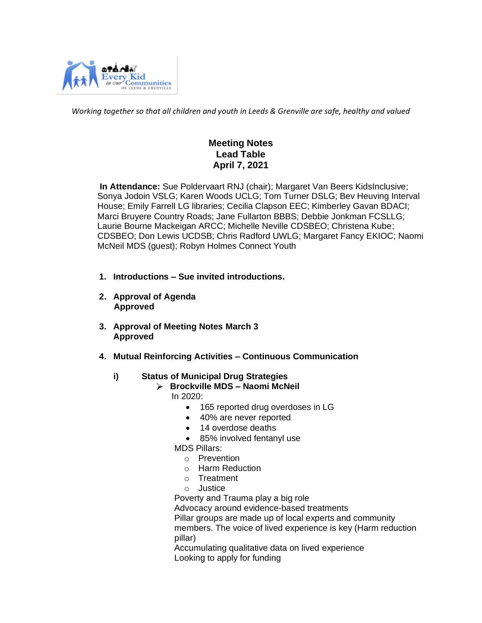

*Working together so that all children and youth in Leeds & Grenville are safe, healthy and valued*

# **Meeting Notes Lead Table April 7, 2021**

 **In Attendance:** Sue Poldervaart RNJ (chair); Margaret Van Beers KidsInclusive; Sonya Jodoin VSLG; Karen Woods UCLG; Tom Turner DSLG; Bev Heuving Interval House; Emily Farrell LG libraries; Cecilia Clapson EEC; Kimberley Gavan BDACI; Marci Bruyere Country Roads; Jane Fullarton BBBS; Debbie Jonkman FCSLLG; Laurie Bourne Mackeigan ARCC; Michelle Neville CDSBEO; Christena Kube; CDSBEO; Don Lewis UCDSB; Chris Radford UWLG; Margaret Fancy EKIOC; Naomi McNeil MDS (guest); Robyn Holmes Connect Youth

- **1. Introductions – Sue invited introductions.**
- **2. Approval of Agenda Approved**
- **3. Approval of Meeting Notes March 3 Approved**
- **4. Mutual Reinforcing Activities – Continuous Communication**

## **i) Status of Municipal Drug Strategies**

- **Brockville MDS – Naomi McNeil**
	- In 2020:
		- 165 reported drug overdoses in LG
		- 40% are never reported
		- 14 overdose deaths
		- 85% involved fentanyl use
		- MDS Pillars:
			- o Prevention
			- o Harm Reduction
			- o Treatment
			- o Justice

Poverty and Trauma play a big role

Advocacy around evidence-based treatments

 Pillar groups are made up of local experts and community members. The voice of lived experience is key (Harm reduction pillar)

 Accumulating qualitative data on lived experience Looking to apply for funding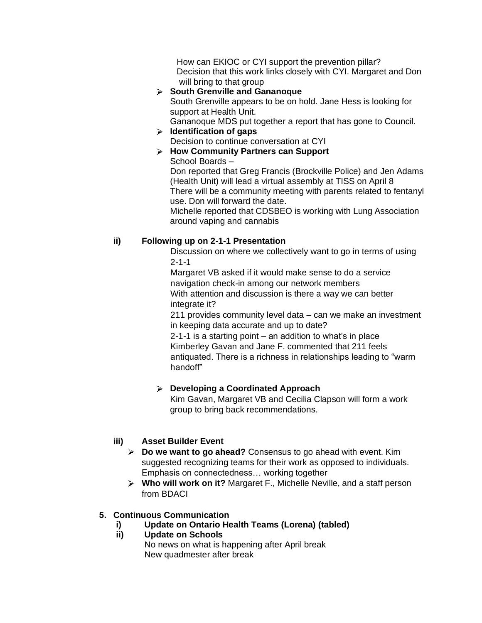How can EKIOC or CYI support the prevention pillar? Decision that this work links closely with CYI. Margaret and Don will bring to that group

#### **South Grenville and Gananoque**

South Grenville appears to be on hold. Jane Hess is looking for support at Health Unit.

Gananoque MDS put together a report that has gone to Council.

- **Identification of gaps**
- Decision to continue conversation at CYI
- **How Community Partners can Support** School Boards –

Don reported that Greg Francis (Brockville Police) and Jen Adams (Health Unit) will lead a virtual assembly at TISS on April 8 There will be a community meeting with parents related to fentanyl use. Don will forward the date.

Michelle reported that CDSBEO is working with Lung Association around vaping and cannabis

## **ii) Following up on 2-1-1 Presentation**

Discussion on where we collectively want to go in terms of using 2-1-1

 Margaret VB asked if it would make sense to do a service navigation check-in among our network members With attention and discussion is there a way we can better integrate it?

 211 provides community level data – can we make an investment in keeping data accurate and up to date?

 2-1-1 is a starting point – an addition to what's in place Kimberley Gavan and Jane F. commented that 211 feels antiquated. There is a richness in relationships leading to "warm handoff"

## **Developing a Coordinated Approach**

Kim Gavan, Margaret VB and Cecilia Clapson will form a work group to bring back recommendations.

# **iii) Asset Builder Event**

- **Do we want to go ahead?** Consensus to go ahead with event. Kim suggested recognizing teams for their work as opposed to individuals. Emphasis on connectedness… working together
- **Who will work on it?** Margaret F., Michelle Neville, and a staff person from BDACI

## **5. Continuous Communication**

**i) Update on Ontario Health Teams (Lorena) (tabled)**

# **ii) Update on Schools**

No news on what is happening after April break New quadmester after break